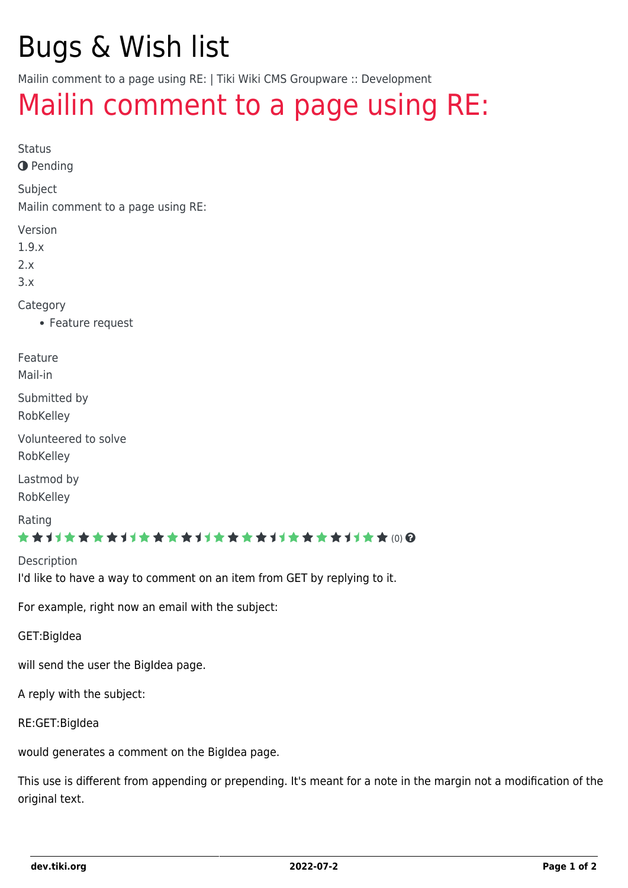# Bugs & Wish list

Mailin comment to a page using RE: | Tiki Wiki CMS Groupware :: Development

## [Mailin comment to a page using RE:](https://dev.tiki.org/item1039-Mailin-comment-to-a-page-using-RE)

Status

**O** Pending

Subject

Mailin comment to a page using RE:

Version

1.9.x

2.x

3.x

Category

Feature request

Feature

Mail-in

Submitted by

RobKelley

Volunteered to solve RobKelley

Lastmod by RobKelley

Rating

#### ★★11★★★★11★★★★11★★★★11★★★★11★★ @@

**Description** I'd like to have a way to comment on an item from GET by replying to it.

For example, right now an email with the subject:

GET:BigIdea

will send the user the BigIdea page.

A reply with the subject:

RE:GET:BigIdea

would generates a comment on the BigIdea page.

This use is different from appending or prepending. It's meant for a note in the margin not a modification of the original text.